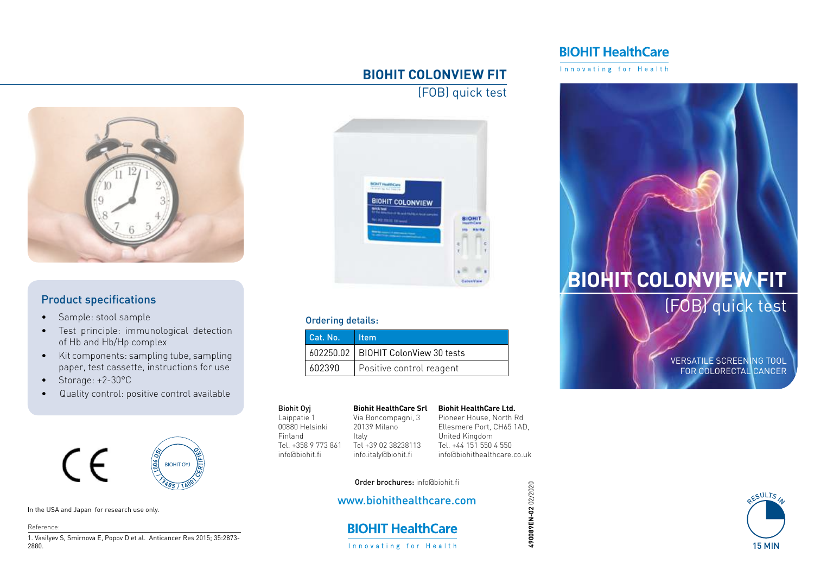## **BIOHIT HealthCare**

Innovating for Health

### **BIOHIT COLONVIEW FIT**

(FOB) quick test



### Product specifications

- Sample: stool sample
- Test principle: immunological detection of Hb and Hb/Hp complex
- Kit components: sampling tube, sampling paper, test cassette, instructions for use
- Storage: +2-30°C
- Quality control: positive control available



#### In the USA and Japan for research use only.

Reference:

1. Vasilyev S, Smirnova E, Popov D et al. Anticancer Res 2015; 35:2873- 2880.



#### Ordering details:

| Cat. No. | <b>I</b> Item                         |
|----------|---------------------------------------|
|          | 602250.02   BIOHIT ColonView 30 tests |
| 602390   | Positive control reagent              |

#### Biohit Oyj

Laippatie 1 00880 Helsinki Finland Tel. +358 9 773 861 info@biohit.fi

**Biohit HealthCare Srl** Via Boncompagni, 3 20139 Milano Tel +39 02 38238113 info.italy@biohit.fi Pioneer House, North Rd

**Biohit HealthCare Ltd.**

Ellesmere Port, CH65 1AD, United Kingdom Tel. +44 151 550 4 550 info@biohithealthcare.co.uk



# **BIOHIT COLONVIEW FIT** (FOB) quick test

VERSATILE SCREENING TOOL FOR COLORECTAL CANCER

### Order brochures: info@biohit.fi

Italy

#### www.biohithealthcare.com

**BIOHIT HealthCare** Innovating for Health

490089EN-02 02/2020 **490089EN-02** 02/2020